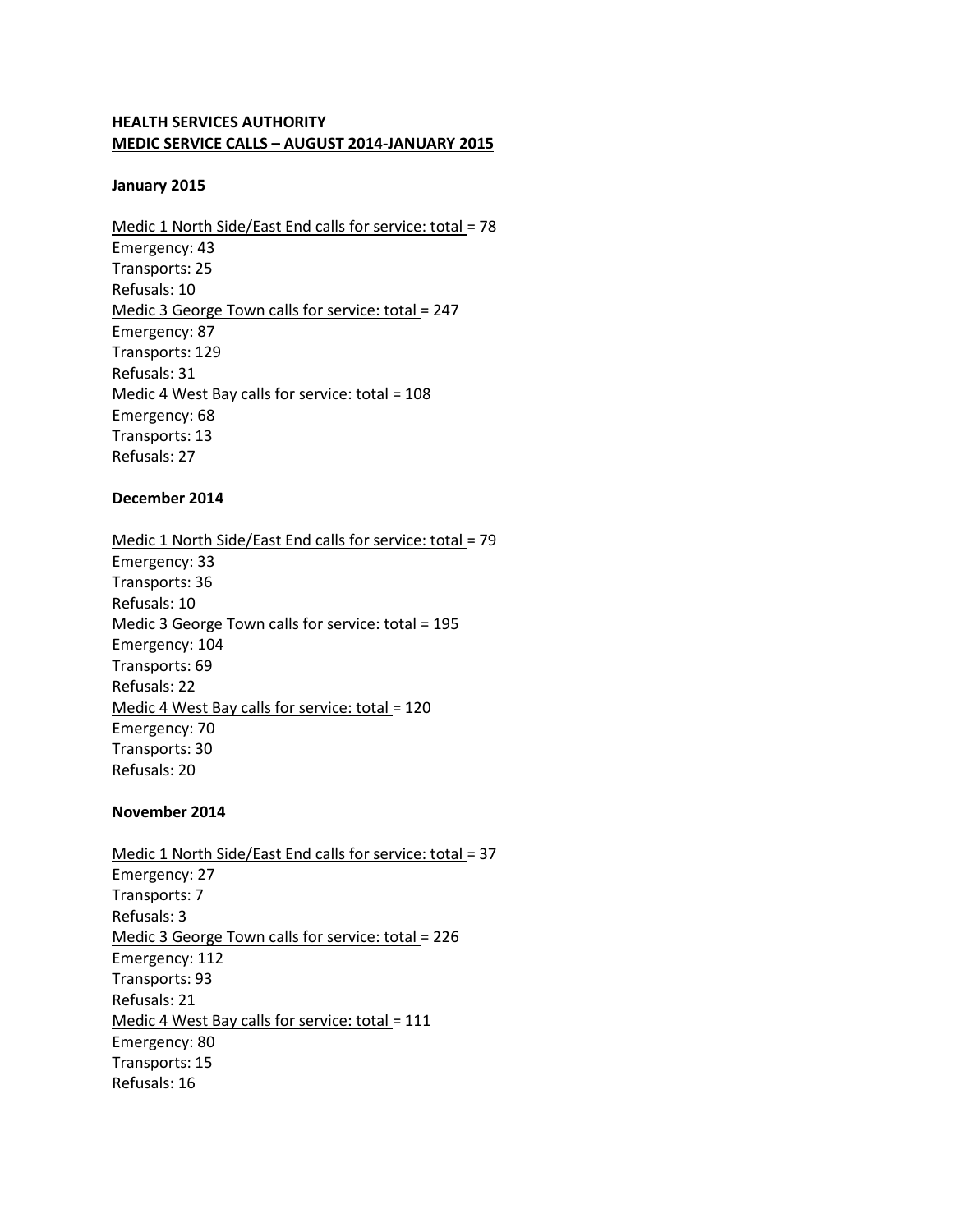# **HEALTH SERVICES AUTHORITY MEDIC SERVICE CALLS – AUGUST 2014-JANUARY 2015**

#### **January 2015**

Medic 1 North Side/East End calls for service: total = 78 Emergency: 43 Transports: 25 Refusals: 10 Medic 3 George Town calls for service: total = 247 Emergency: 87 Transports: 129 Refusals: 31 Medic 4 West Bay calls for service: total = 108 Emergency: 68 Transports: 13 Refusals: 27

### **December 2014**

Medic 1 North Side/East End calls for service: total = 79 Emergency: 33 Transports: 36 Refusals: 10 Medic 3 George Town calls for service: total = 195 Emergency: 104 Transports: 69 Refusals: 22 Medic 4 West Bay calls for service: total = 120 Emergency: 70 Transports: 30 Refusals: 20

### **November 2014**

Medic 1 North Side/East End calls for service: total = 37 Emergency: 27 Transports: 7 Refusals: 3 Medic 3 George Town calls for service: total = 226 Emergency: 112 Transports: 93 Refusals: 21 Medic 4 West Bay calls for service: total = 111 Emergency: 80 Transports: 15 Refusals: 16